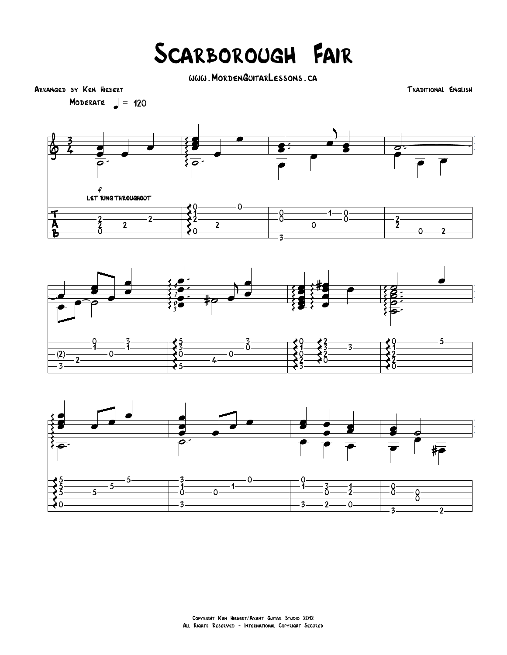## Scarborough Fair

www.MordenGuitarLessons.ca

Arranged by Ken Hiebert Traditional English

MODERATE  $=$  120